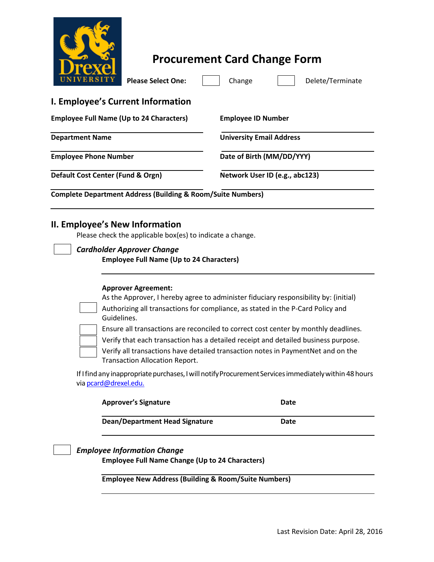

## **Procurement Card Change Form**

| IVERSITY<br><b>Please Select One:</b>                                                       | Change<br>Delete/Terminate                                                           |
|---------------------------------------------------------------------------------------------|--------------------------------------------------------------------------------------|
| <b>I. Employee's Current Information</b>                                                    |                                                                                      |
| <b>Employee Full Name (Up to 24 Characters)</b>                                             | <b>Employee ID Number</b>                                                            |
| <b>Department Name</b>                                                                      | <b>University Email Address</b>                                                      |
| <b>Employee Phone Number</b>                                                                | Date of Birth (MM/DD/YYY)                                                            |
| Default Cost Center (Fund & Orgn)                                                           | Network User ID (e.g., abc123)                                                       |
| <b>Complete Department Address (Building &amp; Room/Suite Numbers)</b>                      |                                                                                      |
| II. Employee's New Information<br>Please check the applicable box(es) to indicate a change. |                                                                                      |
| <b>Cardholder Approver Change</b><br><b>Employee Full Name (Up to 24 Characters)</b>        |                                                                                      |
| <b>Approver Agreement:</b>                                                                  | As the Approver, I hereby agree to administer fiduciary responsibility by: (initial) |

Authorizing all transactions for compliance, as stated in the P-Card Policy and Guidelines.

Ensure all transactions are reconciled to correct cost center by monthly deadlines.

Verify that each transaction has a detailed receipt and detailed business purpose.

Verify all transactions have detailed transaction notes in PaymentNet and on the Transaction Allocation Report.

If I find any inappropriate purchases, I will notify Procurement Services immediately within 48 hours via **[pcard@drexel.edu.](mailto:pcard@drexel.edu)** 

| <b>Approver's Signature</b>           | Date |  |
|---------------------------------------|------|--|
| <b>Dean/Department Head Signature</b> | Date |  |

## *Employee Information Change*

**Employee Full Name Change (Up to 24 Characters)**

**Employee New Address (Building & Room/Suite Numbers)**